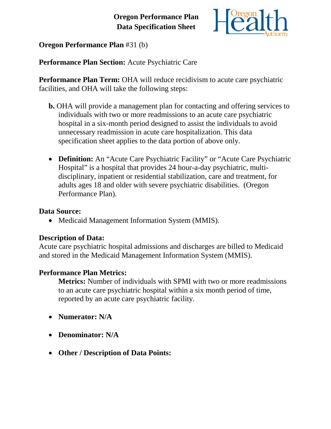# **Oregon Performance Plan Data Specification Sheet**



**Oregon Performance Plan** #31 (b)

**Performance Plan Section:** Acute Psychiatric Care

**Performance Plan Term:** OHA will reduce recidivism to acute care psychiatric facilities, and OHA will take the following steps:

- **b.** OHA will provide a management plan for contacting and offering services to individuals with two or more readmissions to an acute care psychiatric hospital in a six-month period designed to assist the individuals to avoid unnecessary readmission in acute care hospitalization. This data specification sheet applies to the data portion of above only.
- **Definition:** An "Acute Care Psychiatric Facility" or "Acute Care Psychiatric Hospital" is a hospital that provides 24 hour-a-day psychiatric, multidisciplinary, inpatient or residential stabilization, care and treatment, for adults ages 18 and older with severe psychiatric disabilities. (Oregon Performance Plan).

#### **Data Source:**

• Medicaid Management Information System (MMIS).

## **Description of Data:**

Acute care psychiatric hospital admissions and discharges are billed to Medicaid and stored in the Medicaid Management Information System (MMIS).

## **Performance Plan Metrics:**

**Metrics:** Number of individuals with SPMI with two or more readmissions to an acute care psychiatric hospital within a six month period of time, reported by an acute care psychiatric facility.

- **Numerator: N/A**
- **Denominator: N/A**
- **Other / Description of Data Points:**